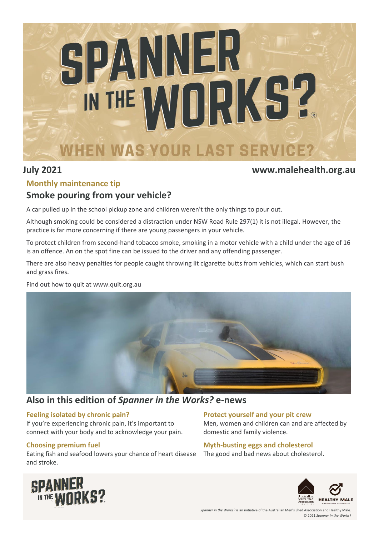

### **July 2021 www.malehealth.org.au**

### **Monthly maintenance tip**

# **Smoke pouring from your vehicle?**

A car pulled up in the school pickup zone and children weren't the only things to pour out.

Although smoking could be considered a distraction under NSW Road Rule 297(1) it is not illegal. However, the practice is far more concerning if there are young passengers in your vehicle.

To protect children from second-hand tobacco smoke, smoking in a motor vehicle with a child under the age of 16 is an offence. An on the spot fine can be issued to the driver and any offending passenger.

There are also heavy penalties for people caught throwing lit cigarette butts from vehicles, which can start bush and grass fires.

Find out how to quit at www.quit.org.au



# **Also in this edition of** *Spanner in the Works?* **e-news**

#### **Feeling isolated by chronic pain?**

If you're experiencing chronic pain, it's important to connect with your body and to acknowledge your pain.

### **Choosing premium fuel**

Eating fish and seafood lowers your chance of heart disease and stroke.

### **Protect yourself and your pit crew**

Men, women and children can and are affected by domestic and family violence.

### **Myth-busting eggs and cholesterol**

The good and bad news about cholesterol.



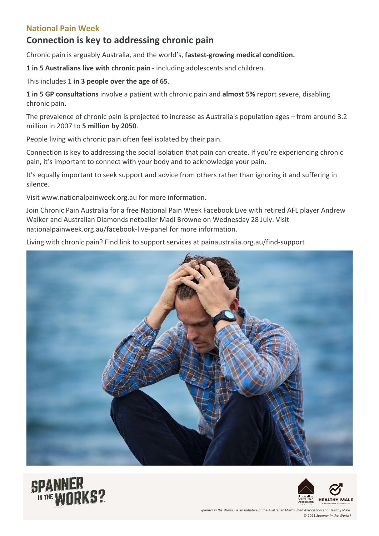### **National Pain Week**

# **Connection is key to addressing chronic pain**

Chronic pain is arguably Australia, and the world's, **fastest-growing medical condition.**

**1 in 5 Australians live with chronic pain -** including adolescents and children.

This includes **1 in 3 people over the age of 65**.

**1 in 5 GP consultations** involve a patient with chronic pain and **almost 5%** report severe, disabling chronic pain.

The prevalence of chronic pain is projected to increase as Australia's population ages – from around 3.2 million in 2007 to **5 million by 2050**.

People living with chronic pain often feel isolated by their pain.

Connection is key to addressing the social isolation that pain can create. If you're experiencing chronic pain, it's important to connect with your body and to acknowledge your pain.

It's equally important to seek support and advice from others rather than ignoring it and suffering in silence.

Visit www.nationalpainweek.org.au for more information.

Join Chronic Pain Australia for a free National Pain Week Facebook Live with retired AFL player Andrew Walker and Australian Diamonds netballer Madi Browne on Wednesday 28 July. Visit nationalpainweek.org.au/facebook-live-panel for more information.

Living with chronic pain? Find link to support services at painaustralia.org.au/find-support





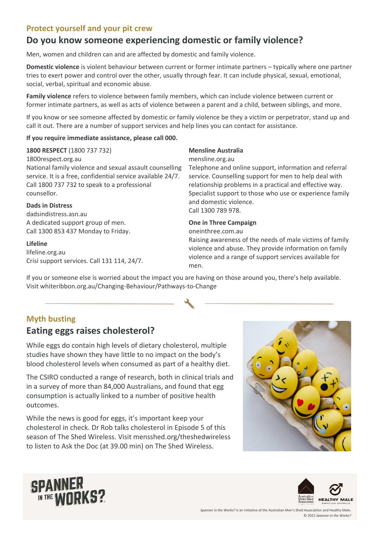### **Protect yourself and your pit crew**

# **Do you know someone experiencing domestic or family violence?**

Men, women and children can and are affected by domestic and family violence.

**Domestic violence** is violent behaviour between current or former intimate partners – typically where one partner tries to exert power and control over the other, usually through fear. It can include physical, sexual, emotional, social, verbal, spiritual and economic abuse.

**Family violence** refers to violence between family members, which can include violence between current or former intimate partners, as well as acts of violence between a parent and a child, between siblings, and more.

If you know or see someone affected by domestic or family violence be they a victim or perpetrator, stand up and call it out. There are a number of support services and help lines you can contact for assistance.

#### **If you require immediate assistance, please call 000.**

#### **1800 RESPECT** (1800 737 732)

1800respect.org.au National family violence and sexual assault counselling service. It is a free, confidential service available 24/7. Call 1800 737 732 to speak to a professional counsellor.

#### **Dads in Distress**

dadsindistress.asn.au A dedicated support group of men. Call 1300 853 437 Monday to Friday.

#### **Lifeline**

lifeline.org.au Crisi support services. Call 131 114, 24/7.

#### **Mensline Australia**

#### mensline.org.au

Telephone and online support, information and referral service. Counselling support for men to help deal with relationship problems in a practical and effective way. Specialist support to those who use or experience family and domestic violence. Call 1300 789 978.

#### **One in Three Campaign**

oneinthree.com.au

Raising awareness of the needs of male victims of family violence and abuse. They provide information on family violence and a range of support services available for men.

If you or someone else is worried about the impact you are having on those around you, there's help available. Visit whiteribbon.org.au/Changing-Behaviour/Pathways-to-Change

## **Myth busting**

# **Eating eggs raises cholesterol?**

While eggs do contain high levels of dietary cholesterol, multiple studies have shown they have little to no impact on the body's blood cholesterol levels when consumed as part of a healthy diet.

The CSIRO conducted a range of research, both in clinical trials and in a survey of more than 84,000 Australians, and found that egg consumption is actually linked to a number of positive health outcomes.

While the news is good for eggs, it's important keep your cholesterol in check. Dr Rob talks cholesterol in Episode 5 of this season of The Shed Wireless. Visit mensshed.org/theshedwireless to listen to Ask the Doc (at 39.00 min) on The Shed Wireless.





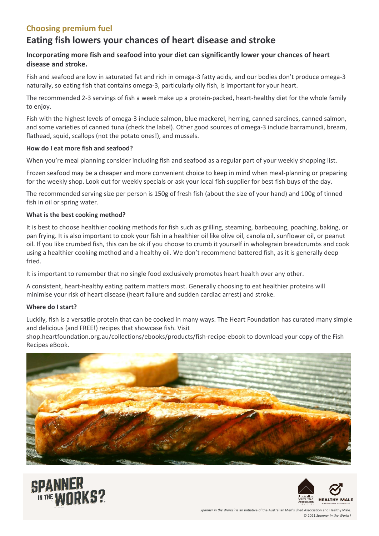# **Choosing premium fuel**

# **Eating fish lowers your chances of heart disease and stroke**

### **Incorporating more fish and seafood into your diet can significantly lower your chances of heart disease and stroke.**

Fish and seafood are low in saturated fat and rich in omega-3 fatty acids, and our bodies don't produce omega-3 naturally, so eating fish that contains omega-3, particularly oily fish, is important for your heart.

The recommended 2-3 servings of fish a week make up a protein-packed, heart-healthy diet for the whole family to enjoy.

Fish with the highest levels of omega-3 include salmon, blue mackerel, herring, canned sardines, canned salmon, and some varieties of canned tuna (check the label). Other good sources of omega-3 include barramundi, bream, flathead, squid, scallops (not the potato ones!), and mussels.

#### **How do I eat more fish and seafood?**

When you're meal planning consider including fish and seafood as a regular part of your weekly shopping list.

Frozen seafood may be a cheaper and more convenient choice to keep in mind when meal-planning or preparing for the weekly shop. Look out for weekly specials or ask your local fish supplier for best fish buys of the day.

The recommended serving size per person is 150g of fresh fish (about the size of your hand) and 100g of tinned fish in oil or spring water.

#### **What is the best cooking method?**

It is best to choose healthier cooking methods for fish such as grilling, steaming, barbequing, poaching, baking, or pan frying. It is also important to cook your fish in a healthier oil like olive oil, canola oil, sunflower oil, or peanut oil. If you like crumbed fish, this can be ok if you choose to crumb it yourself in wholegrain breadcrumbs and cook using a healthier cooking method and a healthy oil. We don't recommend battered fish, as it is generally deep fried.

It is important to remember that no single food exclusively promotes heart health over any other.

A consistent, heart-healthy eating pattern matters most. Generally choosing to eat healthier proteins will minimise your risk of heart disease (heart failure and sudden cardiac arrest) and stroke.

#### **Where do I start?**

Luckily, fish is a versatile protein that can be cooked in many ways. The Heart Foundation has curated many simple and delicious (and FREE!) recipes that showcase fish. Visit

shop.heartfoundation.org.au/collections/ebooks/products/fish-recipe-ebook to download your copy of the Fish Recipes eBook.